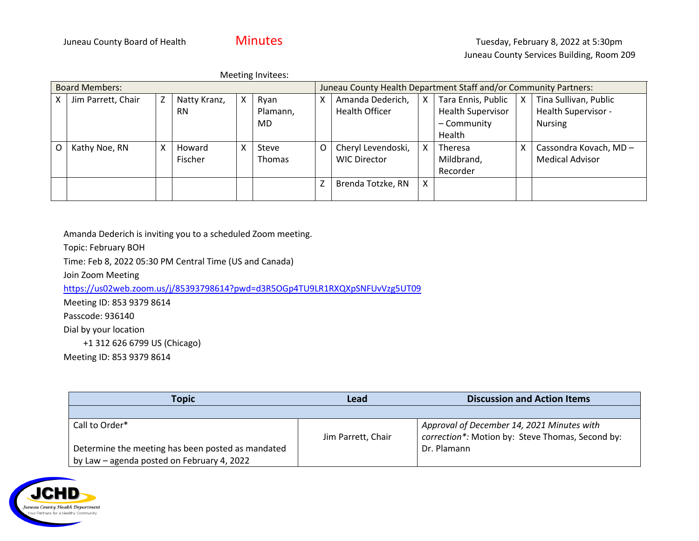| Meeting Invitees:     |                    |   |                |   |                                                                  |   |                       |   |                          |  |                        |
|-----------------------|--------------------|---|----------------|---|------------------------------------------------------------------|---|-----------------------|---|--------------------------|--|------------------------|
| <b>Board Members:</b> |                    |   |                |   | Juneau County Health Department Staff and/or Community Partners: |   |                       |   |                          |  |                        |
| X                     | Jim Parrett, Chair | Z | Natty Kranz,   | X | Ryan                                                             | х | Amanda Dederich,      | Χ | Tara Ennis, Public       |  | Tina Sullivan, Public  |
|                       |                    |   | <b>RN</b>      |   | Plamann,                                                         |   | <b>Health Officer</b> |   | <b>Health Supervisor</b> |  | Health Supervisor -    |
|                       |                    |   |                |   | <b>MD</b>                                                        |   |                       |   | - Community              |  | <b>Nursing</b>         |
|                       |                    |   |                |   |                                                                  |   |                       |   | Health                   |  |                        |
| O                     | Kathy Noe, RN      | X | Howard         | Χ | Steve                                                            | O | Cheryl Levendoski,    | X | Theresa                  |  | Cassondra Kovach, MD-  |
|                       |                    |   | <b>Fischer</b> |   | <b>Thomas</b>                                                    |   | <b>WIC Director</b>   |   | Mildbrand,               |  | <b>Medical Advisor</b> |
|                       |                    |   |                |   |                                                                  |   |                       |   | Recorder                 |  |                        |
|                       |                    |   |                |   |                                                                  | Z | Brenda Totzke, RN     | X |                          |  |                        |
|                       |                    |   |                |   |                                                                  |   |                       |   |                          |  |                        |

Amanda Dederich is inviting you to a scheduled Zoom meeting.

Topic: February BOH

Time: Feb 8, 2022 05:30 PM Central Time (US and Canada)

Join Zoom Meeting

<https://us02web.zoom.us/j/85393798614?pwd=d3R5OGp4TU9LR1RXQXpSNFUvVzg5UT09>

Meeting ID: 853 9379 8614

Passcode: 936140

Dial by your location

+1 312 626 6799 US (Chicago)

Meeting ID: 853 9379 8614

| <b>Topic</b>                                      | Lead               | <b>Discussion and Action Items</b>               |
|---------------------------------------------------|--------------------|--------------------------------------------------|
|                                                   |                    |                                                  |
| Call to Order*                                    |                    | Approval of December 14, 2021 Minutes with       |
|                                                   | Jim Parrett, Chair | correction*: Motion by: Steve Thomas, Second by: |
| Determine the meeting has been posted as mandated |                    | Dr. Plamann                                      |
| by Law - agenda posted on February 4, 2022        |                    |                                                  |

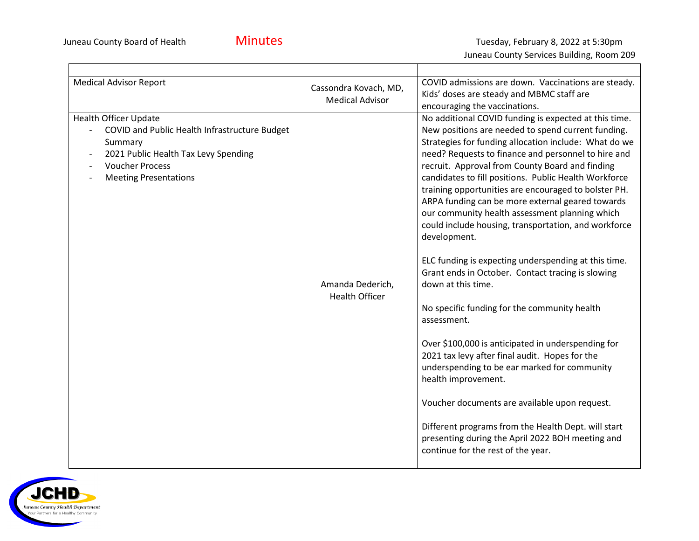$\blacksquare$ 

┰

Juneau County Services Building, Room 209

| <b>Medical Advisor Report</b> |                                                                                                                                                                                                                                                    | Cassondra Kovach, MD,<br><b>Medical Advisor</b> | COVID admissions are down. Vaccinations are steady.<br>Kids' doses are steady and MBMC staff are<br>encouraging the vaccinations.                                                                                                                                                                                                                                                                                                                                                                                                                                                                                                                                                                                                                                                                                                                                                                                                                                                                                                                                                                                                                                |  |  |
|-------------------------------|----------------------------------------------------------------------------------------------------------------------------------------------------------------------------------------------------------------------------------------------------|-------------------------------------------------|------------------------------------------------------------------------------------------------------------------------------------------------------------------------------------------------------------------------------------------------------------------------------------------------------------------------------------------------------------------------------------------------------------------------------------------------------------------------------------------------------------------------------------------------------------------------------------------------------------------------------------------------------------------------------------------------------------------------------------------------------------------------------------------------------------------------------------------------------------------------------------------------------------------------------------------------------------------------------------------------------------------------------------------------------------------------------------------------------------------------------------------------------------------|--|--|
|                               | <b>Health Officer Update</b><br>COVID and Public Health Infrastructure Budget<br>Summary<br>2021 Public Health Tax Levy Spending<br>$\overline{\phantom{a}}$<br><b>Voucher Process</b><br>$\overline{\phantom{a}}$<br><b>Meeting Presentations</b> | Amanda Dederich,<br><b>Health Officer</b>       | No additional COVID funding is expected at this time.<br>New positions are needed to spend current funding.<br>Strategies for funding allocation include: What do we<br>need? Requests to finance and personnel to hire and<br>recruit. Approval from County Board and finding<br>candidates to fill positions. Public Health Workforce<br>training opportunities are encouraged to bolster PH.<br>ARPA funding can be more external geared towards<br>our community health assessment planning which<br>could include housing, transportation, and workforce<br>development.<br>ELC funding is expecting underspending at this time.<br>Grant ends in October. Contact tracing is slowing<br>down at this time.<br>No specific funding for the community health<br>assessment.<br>Over \$100,000 is anticipated in underspending for<br>2021 tax levy after final audit. Hopes for the<br>underspending to be ear marked for community<br>health improvement.<br>Voucher documents are available upon request.<br>Different programs from the Health Dept. will start<br>presenting during the April 2022 BOH meeting and<br>continue for the rest of the year. |  |  |

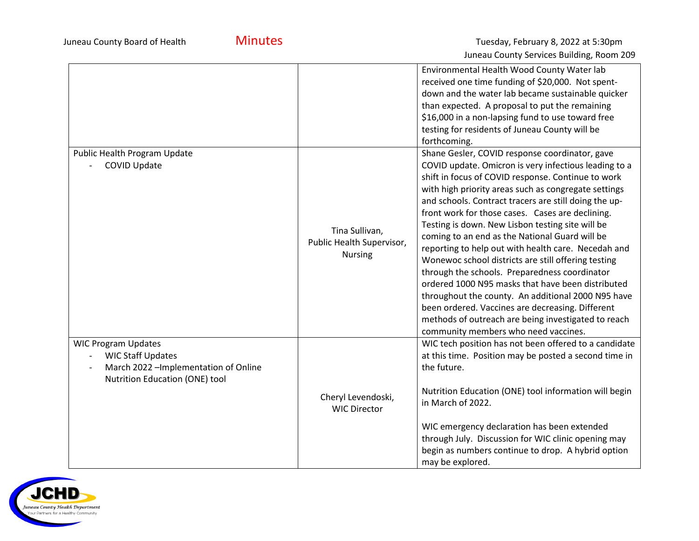Juneau County Board of Health **Minutes Minutes** Tuesday, February 8, 2022 at 5:30pm Juneau County Services Building, Room 209

|                                                                                                                                   |                                                               | Environmental Health Wood County Water lab<br>received one time funding of \$20,000. Not spent-<br>down and the water lab became sustainable quicker<br>than expected. A proposal to put the remaining<br>\$16,000 in a non-lapsing fund to use toward free<br>testing for residents of Juneau County will be<br>forthcoming.                                                                                                                                                                                                                                                                                                                                                                                                                                                                                                                                         |
|-----------------------------------------------------------------------------------------------------------------------------------|---------------------------------------------------------------|-----------------------------------------------------------------------------------------------------------------------------------------------------------------------------------------------------------------------------------------------------------------------------------------------------------------------------------------------------------------------------------------------------------------------------------------------------------------------------------------------------------------------------------------------------------------------------------------------------------------------------------------------------------------------------------------------------------------------------------------------------------------------------------------------------------------------------------------------------------------------|
| Public Health Program Update<br><b>COVID Update</b>                                                                               | Tina Sullivan,<br>Public Health Supervisor,<br><b>Nursing</b> | Shane Gesler, COVID response coordinator, gave<br>COVID update. Omicron is very infectious leading to a<br>shift in focus of COVID response. Continue to work<br>with high priority areas such as congregate settings<br>and schools. Contract tracers are still doing the up-<br>front work for those cases. Cases are declining.<br>Testing is down. New Lisbon testing site will be<br>coming to an end as the National Guard will be<br>reporting to help out with health care. Necedah and<br>Wonewoc school districts are still offering testing<br>through the schools. Preparedness coordinator<br>ordered 1000 N95 masks that have been distributed<br>throughout the county. An additional 2000 N95 have<br>been ordered. Vaccines are decreasing. Different<br>methods of outreach are being investigated to reach<br>community members who need vaccines. |
| <b>WIC Program Updates</b><br><b>WIC Staff Updates</b><br>March 2022 - Implementation of Online<br>Nutrition Education (ONE) tool | Cheryl Levendoski,<br><b>WIC Director</b>                     | WIC tech position has not been offered to a candidate<br>at this time. Position may be posted a second time in<br>the future.<br>Nutrition Education (ONE) tool information will begin<br>in March of 2022.<br>WIC emergency declaration has been extended<br>through July. Discussion for WIC clinic opening may<br>begin as numbers continue to drop. A hybrid option<br>may be explored.                                                                                                                                                                                                                                                                                                                                                                                                                                                                           |